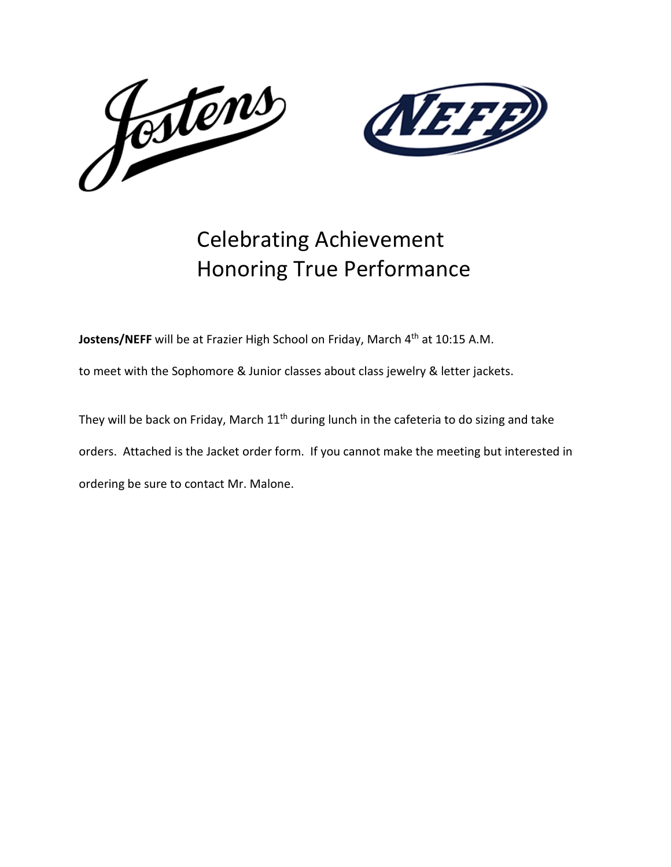



## Celebrating Achievement Honoring True Performance

**Jostens/NEFF** will be at Frazier High School on Friday, March 4<sup>th</sup> at 10:15 A.M.

to meet with the Sophomore & Junior classes about class jewelry & letter jackets.

They will be back on Friday, March 11<sup>th</sup> during lunch in the cafeteria to do sizing and take orders. Attached is the Jacket order form. If you cannot make the meeting but interested in ordering be sure to contact Mr. Malone.